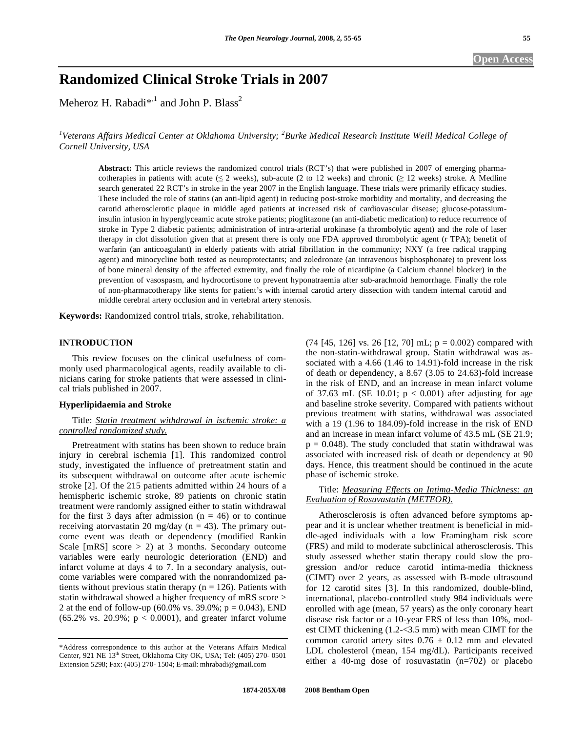# **Randomized Clinical Stroke Trials in 2007**

Meheroz H. Rabadi $^{*,1}$  and John P. Blass<sup>2</sup>

<sup>1</sup>Veterans Affairs Medical Center at Oklahoma University; <sup>2</sup>Burke Medical Research Institute Weill Medical College of *Cornell University, USA* 

**Abstract:** This article reviews the randomized control trials (RCT's) that were published in 2007 of emerging pharmacotherapies in patients with acute ( $\leq 2$  weeks), sub-acute (2 to 12 weeks) and chronic ( $\geq 12$  weeks) stroke. A Medline search generated 22 RCT's in stroke in the year 2007 in the English language. These trials were primarily efficacy studies. These included the role of statins (an anti-lipid agent) in reducing post-stroke morbidity and mortality, and decreasing the carotid atherosclerotic plaque in middle aged patients at increased risk of cardiovascular disease; glucose-potassiuminsulin infusion in hyperglyceamic acute stroke patients; pioglitazone (an anti-diabetic medication) to reduce recurrence of stroke in Type 2 diabetic patients; administration of intra-arterial urokinase (a thrombolytic agent) and the role of laser therapy in clot dissolution given that at present there is only one FDA approved thrombolytic agent (r TPA); benefit of warfarin (an anticoagulant) in elderly patients with atrial fibrillation in the community; NXY (a free radical trapping agent) and minocycline both tested as neuroprotectants; and zoledronate (an intravenous bisphosphonate) to prevent loss of bone mineral density of the affected extremity, and finally the role of nicardipine (a Calcium channel blocker) in the prevention of vasospasm, and hydrocortisone to prevent hyponatraemia after sub-arachnoid hemorrhage. Finally the role of non-pharmacotherapy like stents for patient's with internal carotid artery dissection with tandem internal carotid and middle cerebral artery occlusion and in vertebral artery stenosis.

**Keywords:** Randomized control trials, stroke, rehabilitation.

## **INTRODUCTION**

 This review focuses on the clinical usefulness of commonly used pharmacological agents, readily available to clinicians caring for stroke patients that were assessed in clinical trials published in 2007.

#### **Hyperlipidaemia and Stroke**

## Title: *Statin treatment withdrawal in ischemic stroke: a controlled randomized study.*

 Pretreatment with statins has been shown to reduce brain injury in cerebral ischemia [1]. This randomized control study, investigated the influence of pretreatment statin and its subsequent withdrawal on outcome after acute ischemic stroke [2]. Of the 215 patients admitted within 24 hours of a hemispheric ischemic stroke, 89 patients on chronic statin treatment were randomly assigned either to statin withdrawal for the first 3 days after admission  $(n = 46)$  or to continue receiving atorvastatin 20 mg/day ( $n = 43$ ). The primary outcome event was death or dependency (modified Rankin Scale  $[mRS]$  score  $> 2$ ) at 3 months. Secondary outcome variables were early neurologic deterioration (END) and infarct volume at days 4 to 7. In a secondary analysis, outcome variables were compared with the nonrandomized patients without previous statin therapy ( $n = 126$ ). Patients with statin withdrawal showed a higher frequency of mRS score > 2 at the end of follow-up (60.0% vs. 39.0%;  $p = 0.043$ ), END  $(65.2\% \text{ vs. } 20.9\%; \text{ p} < 0.0001)$ , and greater infarct volume

 $(74 \, [45, 126] \, \text{vs. } 26 \, [12, 70] \, \text{mL}; \, \text{p} = 0.002)$  compared with the non-statin-withdrawal group. Statin withdrawal was associated with a 4.66 (1.46 to 14.91)-fold increase in the risk of death or dependency, a 8.67 (3.05 to 24.63)-fold increase in the risk of END, and an increase in mean infarct volume of 37.63 mL (SE 10.01;  $p < 0.001$ ) after adjusting for age and baseline stroke severity. Compared with patients without previous treatment with statins, withdrawal was associated with a 19 (1.96 to 184.09)-fold increase in the risk of END and an increase in mean infarct volume of 43.5 mL (SE 21.9;  $p = 0.048$ ). The study concluded that statin withdrawal was associated with increased risk of death or dependency at 90 days. Hence, this treatment should be continued in the acute phase of ischemic stroke.

## Title: *Measuring Effects on Intima-Media Thickness: an Evaluation of Rosuvastatin (METEOR).*

 Atherosclerosis is often advanced before symptoms appear and it is unclear whether treatment is beneficial in middle-aged individuals with a low Framingham risk score (FRS) and mild to moderate subclinical atherosclerosis. This study assessed whether statin therapy could slow the progression and/or reduce carotid intima-media thickness (CIMT) over 2 years, as assessed with B-mode ultrasound for 12 carotid sites [3]. In this randomized, double-blind, international, placebo-controlled study 984 individuals were enrolled with age (mean, 57 years) as the only coronary heart disease risk factor or a 10-year FRS of less than 10%, modest CIMT thickening (1.2-<3.5 mm) with mean CIMT for the common carotid artery sites  $0.76 \pm 0.12$  mm and elevated LDL cholesterol (mean, 154 mg/dL). Participants received either a 40-mg dose of rosuvastatin (n=702) or placebo

<sup>\*</sup>Address correspondence to this author at the Veterans Affairs Medical Center, 921 NE 13th Street, Oklahoma City OK, USA; Tel: (405) 270- 0501 Extension 5298; Fax: (405) 270- 1504; E-mail: mhrabadi@gmail.com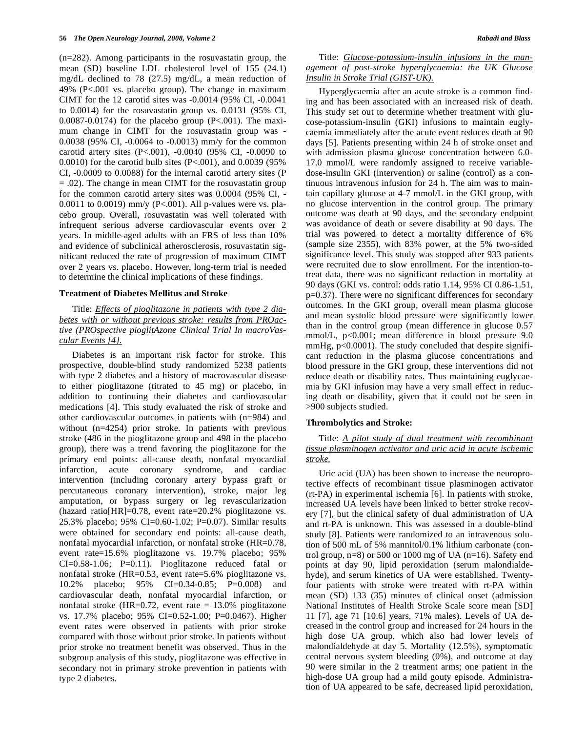(n=282). Among participants in the rosuvastatin group, the mean (SD) baseline LDL cholesterol level of 155 (24.1) mg/dL declined to 78 (27.5) mg/dL, a mean reduction of 49% (P<.001 vs. placebo group). The change in maximum CIMT for the 12 carotid sites was -0.0014 (95% CI, -0.0041 to 0.0014) for the rosuvastatin group vs. 0.0131 (95% CI, 0.0087-0.0174) for the placebo group (P<.001). The maximum change in CIMT for the rosuvastatin group was - 0.0038 (95% CI, -0.0064 to -0.0013) mm/y for the common carotid artery sites (P<.001), -0.0040 (95% CI, -0.0090 to 0.0010) for the carotid bulb sites (P<.001), and 0.0039 (95% CI, -0.0009 to 0.0088) for the internal carotid artery sites (P = .02). The change in mean CIMT for the rosuvastatin group for the common carotid artery sites was 0.0004 (95% CI, - 0.0011 to 0.0019) mm/y (P<.001). All p-values were vs. placebo group. Overall, rosuvastatin was well tolerated with infrequent serious adverse cardiovascular events over 2 years. In middle-aged adults with an FRS of less than 10% and evidence of subclinical atherosclerosis, rosuvastatin significant reduced the rate of progression of maximum CIMT over 2 years vs. placebo. However, long-term trial is needed to determine the clinical implications of these findings.

#### **Treatment of Diabetes Mellitus and Stroke**

 Title: *Effects of pioglitazone in patients with type 2 diabetes with or without previous stroke: results from PROactive (PROspective pioglitAzone Clinical Trial In macroVascular Events [4].*

 Diabetes is an important risk factor for stroke. This prospective, double-blind study randomized 5238 patients with type 2 diabetes and a history of macrovascular disease to either pioglitazone (titrated to 45 mg) or placebo, in addition to continuing their diabetes and cardiovascular medications [4]. This study evaluated the risk of stroke and other cardiovascular outcomes in patients with (n=984) and without (n=4254) prior stroke. In patients with previous stroke (486 in the pioglitazone group and 498 in the placebo group), there was a trend favoring the pioglitazone for the primary end points: all-cause death, nonfatal myocardial infarction, acute coronary syndrome, and cardiac intervention (including coronary artery bypass graft or percutaneous coronary intervention), stroke, major leg amputation, or bypass surgery or leg revascularization (hazard ratio[HR]=0.78, event rate=20.2% pioglitazone vs. 25.3% placebo; 95% CI=0.60-1.02; P=0.07). Similar results were obtained for secondary end points: all-cause death, nonfatal myocardial infarction, or nonfatal stroke (HR=0.78, event rate=15.6% pioglitazone vs. 19.7% placebo; 95% CI=0.58-1.06; P=0.11). Pioglitazone reduced fatal or nonfatal stroke (HR=0.53, event rate=5.6% pioglitazone vs. 10.2% placebo; 95% CI=0.34-0.85; P=0.008) and cardiovascular death, nonfatal myocardial infarction, or nonfatal stroke (HR=0.72, event rate =  $13.0\%$  pioglitazone vs. 17.7% placebo; 95% CI=0.52-1.00; P=0.0467). Higher event rates were observed in patients with prior stroke compared with those without prior stroke. In patients without prior stroke no treatment benefit was observed. Thus in the subgroup analysis of this study, pioglitazone was effective in secondary not in primary stroke prevention in patients with type 2 diabetes.

## Title: *Glucose-potassium-insulin infusions in the management of post-stroke hyperglycaemia: the UK Glucose Insulin in Stroke Trial (GIST-UK).*

 Hyperglycaemia after an acute stroke is a common finding and has been associated with an increased risk of death. This study set out to determine whether treatment with glucose-potassium-insulin (GKI) infusions to maintain euglycaemia immediately after the acute event reduces death at 90 days [5]. Patients presenting within 24 h of stroke onset and with admission plasma glucose concentration between 6.0- 17.0 mmol/L were randomly assigned to receive variabledose-insulin GKI (intervention) or saline (control) as a continuous intravenous infusion for 24 h. The aim was to maintain capillary glucose at 4-7 mmol/L in the GKI group, with no glucose intervention in the control group. The primary outcome was death at 90 days, and the secondary endpoint was avoidance of death or severe disability at 90 days. The trial was powered to detect a mortality difference of 6% (sample size 2355), with 83% power, at the 5% two-sided significance level. This study was stopped after 933 patients were recruited due to slow enrollment. For the intention-totreat data, there was no significant reduction in mortality at 90 days (GKI vs. control: odds ratio 1.14, 95% CI 0.86-1.51, p=0.37). There were no significant differences for secondary outcomes. In the GKI group, overall mean plasma glucose and mean systolic blood pressure were significantly lower than in the control group (mean difference in glucose 0.57 mmol/L, p<0.001; mean difference in blood pressure 9.0 mmHg, p<0.0001). The study concluded that despite significant reduction in the plasma glucose concentrations and blood pressure in the GKI group, these interventions did not reduce death or disability rates. Thus maintaining euglycaemia by GKI infusion may have a very small effect in reducing death or disability, given that it could not be seen in >900 subjects studied.

#### **Thrombolytics and Stroke:**

# Title: *A pilot study of dual treatment with recombinant tissue plasminogen activator and uric acid in acute ischemic stroke.*

 Uric acid (UA) has been shown to increase the neuroprotective effects of recombinant tissue plasminogen activator (rt-PA) in experimental ischemia [6]. In patients with stroke, increased UA levels have been linked to better stroke recovery [7], but the clinical safety of dual administration of UA and rt-PA is unknown. This was assessed in a double-blind study [8]. Patients were randomized to an intravenous solution of 500 mL of 5% mannitol/0.1% lithium carbonate (control group,  $n=8$ ) or 500 or 1000 mg of UA ( $n=16$ ). Safety end points at day 90, lipid peroxidation (serum malondialdehyde), and serum kinetics of UA were established. Twentyfour patients with stroke were treated with rt-PA within mean (SD) 133 (35) minutes of clinical onset (admission National Institutes of Health Stroke Scale score mean [SD] 11 [7], age 71 [10.6] years, 71% males). Levels of UA decreased in the control group and increased for 24 hours in the high dose UA group, which also had lower levels of malondialdehyde at day 5. Mortality (12.5%), symptomatic central nervous system bleeding (0%), and outcome at day 90 were similar in the 2 treatment arms; one patient in the high-dose UA group had a mild gouty episode. Administration of UA appeared to be safe, decreased lipid peroxidation,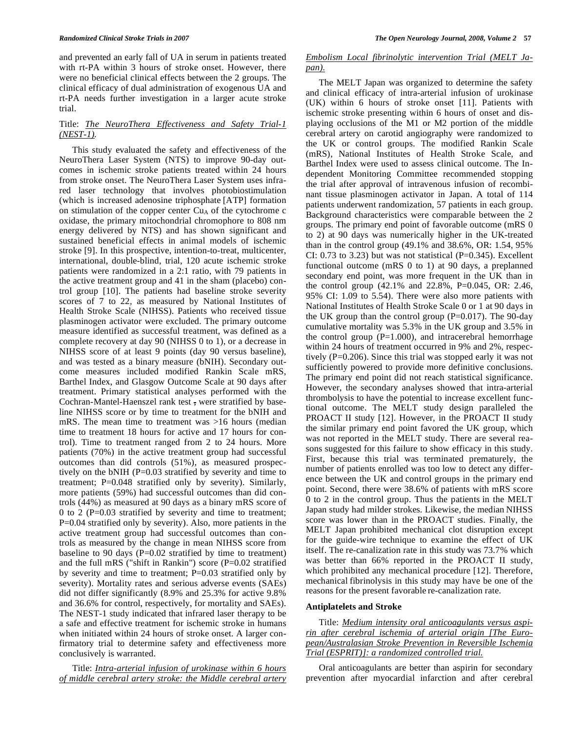and prevented an early fall of UA in serum in patients treated with rt-PA within 3 hours of stroke onset. However, there were no beneficial clinical effects between the 2 groups. The clinical efficacy of dual administration of exogenous UA and rt-PA needs further investigation in a larger acute stroke trial.

## Title: *The NeuroThera Effectiveness and Safety Trial-1 (NEST-1).*

 This study evaluated the safety and effectiveness of the NeuroThera Laser System (NTS) to improve 90-day outcomes in ischemic stroke patients treated within 24 hours from stroke onset. The NeuroThera Laser System uses infrared laser technology that involves photobiostimulation (which is increased adenosine triphosphate [ATP] formation on stimulation of the copper center  $Cu<sub>A</sub>$  of the cytochrome c oxidase, the primary mitochondrial chromophore to 808 nm energy delivered by NTS) and has shown significant and sustained beneficial effects in animal models of ischemic stroke [9]. In this prospective, intention-to-treat, multicenter, international, double-blind, trial, 120 acute ischemic stroke patients were randomized in a 2:1 ratio, with 79 patients in the active treatment group and 41 in the sham (placebo) control group [10]. The patients had baseline stroke severity scores of 7 to 22, as measured by National Institutes of Health Stroke Scale (NIHSS). Patients who received tissue plasminogen activator were excluded. The primary outcome measure identified as successful treatment, was defined as a complete recovery at day 90 (NIHSS 0 to 1), or a decrease in NIHSS score of at least 9 points (day 90 versus baseline), and was tested as a binary measure (bNIH). Secondary outcome measures included modified Rankin Scale mRS, Barthel Index, and Glasgow Outcome Scale at 90 days after treatment. Primary statistical analyses performed with the Cochran-Mantel-Haenszel rank test , were stratified by baseline NIHSS score or by time to treatment for the bNIH and mRS. The mean time to treatment was >16 hours (median time to treatment 18 hours for active and 17 hours for control). Time to treatment ranged from 2 to 24 hours. More patients (70%) in the active treatment group had successful outcomes than did controls (51%), as measured prospectively on the bNIH (P=0.03 stratified by severity and time to treatment; P=0.048 stratified only by severity). Similarly, more patients (59%) had successful outcomes than did controls (44%) as measured at 90 days as a binary mRS score of 0 to 2 (P=0.03 stratified by severity and time to treatment; P=0.04 stratified only by severity). Also, more patients in the active treatment group had successful outcomes than controls as measured by the change in mean NIHSS score from baseline to 90 days (P=0.02 stratified by time to treatment) and the full mRS ("shift in Rankin") score  $(P=0.02$  stratified by severity and time to treatment; P=0.03 stratified only by severity). Mortality rates and serious adverse events (SAEs) did not differ significantly (8.9% and 25.3% for active 9.8% and 36.6% for control, respectively, for mortality and SAEs). The NEST-1 study indicated that infrared laser therapy to be a safe and effective treatment for ischemic stroke in humans when initiated within 24 hours of stroke onset. A larger confirmatory trial to determine safety and effectiveness more conclusively is warranted.

 Title: *Intra-arterial infusion of urokinase within 6 hours of middle cerebral artery stroke: the Middle cerebral artery* 

## *Embolism Local fibrinolytic intervention Trial (MELT Japan).*

 The MELT Japan was organized to determine the safety and clinical efficacy of intra-arterial infusion of urokinase (UK) within 6 hours of stroke onset [11]. Patients with ischemic stroke presenting within 6 hours of onset and displaying occlusions of the M1 or M2 portion of the middle cerebral artery on carotid angiography were randomized to the UK or control groups. The modified Rankin Scale (mRS), National Institutes of Health Stroke Scale, and Barthel Index were used to assess clinical outcome. The Independent Monitoring Committee recommended stopping the trial after approval of intravenous infusion of recombinant tissue plasminogen activator in Japan. A total of 114 patients underwent randomization, 57 patients in each group. Background characteristics were comparable between the 2 groups. The primary end point of favorable outcome (mRS 0 to 2) at 90 days was numerically higher in the UK-treated than in the control group (49.1% and 38.6%, OR: 1.54, 95% CI:  $0.73$  to  $3.23$ ) but was not statistical (P= $0.345$ ). Excellent functional outcome (mRS 0 to 1) at 90 days, a preplanned secondary end point, was more frequent in the UK than in the control group (42.1% and 22.8%, P=0.045, OR: 2.46, 95% CI: 1.09 to 5.54). There were also more patients with National Institutes of Health Stroke Scale 0 or 1 at 90 days in the UK group than the control group  $(P=0.017)$ . The 90-day cumulative mortality was 5.3% in the UK group and 3.5% in the control group  $(P=1.000)$ , and intracerebral hemorrhage within 24 hours of treatment occurred in 9% and 2%, respectively (P=0.206). Since this trial was stopped early it was not sufficiently powered to provide more definitive conclusions. The primary end point did not reach statistical significance. However, the secondary analyses showed that intra-arterial thrombolysis to have the potential to increase excellent functional outcome. The MELT study design paralleled the PROACT II study [12]. However, in the PROACT II study the similar primary end point favored the UK group, which was not reported in the MELT study. There are several reasons suggested for this failure to show efficacy in this study. First, because this trial was terminated prematurely, the number of patients enrolled was too low to detect any difference between the UK and control groups in the primary end point. Second, there were 38.6% of patients with mRS score 0 to 2 in the control group. Thus the patients in the MELT Japan study had milder strokes. Likewise, the median NIHSS score was lower than in the PROACT studies. Finally, the MELT Japan prohibited mechanical clot disruption except for the guide-wire technique to examine the effect of UK itself. The re-canalization rate in this study was 73.7% which was better than 66% reported in the PROACT II study, which prohibited any mechanical procedure [12]. Therefore, mechanical fibrinolysis in this study may have be one of the reasons for the present favorable re-canalization rate.

#### **Antiplatelets and Stroke**

 Title: *Medium intensity oral anticoagulants versus aspirin after cerebral ischemia of arterial origin [The European/Australasian Stroke Prevention in Reversible Ischemia Trial (ESPRIT)]: a randomized controlled trial.*

 Oral anticoagulants are better than aspirin for secondary prevention after myocardial infarction and after cerebral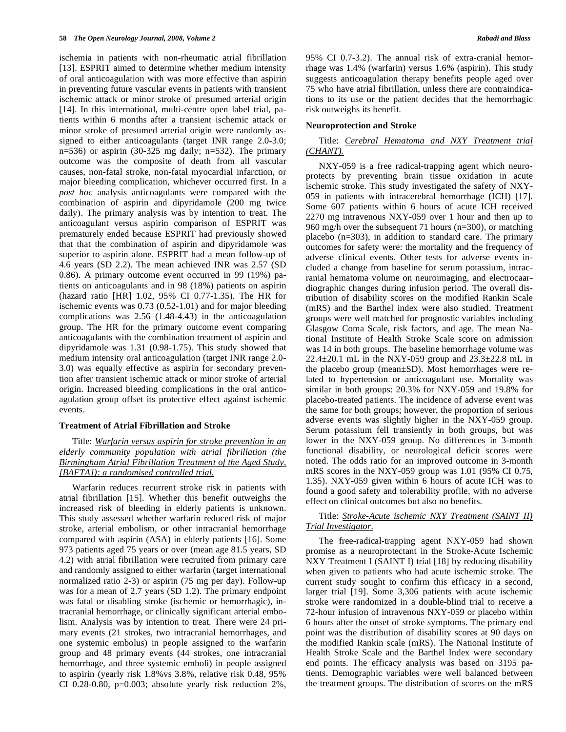ischemia in patients with non-rheumatic atrial fibrillation [13]. ESPRIT aimed to determine whether medium intensity of oral anticoagulation with was more effective than aspirin in preventing future vascular events in patients with transient ischemic attack or minor stroke of presumed arterial origin [14]. In this international, multi-centre open label trial, patients within 6 months after a transient ischemic attack or minor stroke of presumed arterial origin were randomly assigned to either anticoagulants (target INR range 2.0-3.0; n=536) or aspirin (30-325 mg daily; n=532). The primary outcome was the composite of death from all vascular causes, non-fatal stroke, non-fatal myocardial infarction, or major bleeding complication, whichever occurred first. In a *post hoc* analysis anticoagulants were compared with the combination of aspirin and dipyridamole (200 mg twice daily). The primary analysis was by intention to treat. The anticoagulant versus aspirin comparison of ESPRIT was prematurely ended because ESPRIT had previously showed that that the combination of aspirin and dipyridamole was superior to aspirin alone. ESPRIT had a mean follow-up of 4.6 years (SD 2.2). The mean achieved INR was 2.57 (SD 0.86). A primary outcome event occurred in 99 (19%) patients on anticoagulants and in 98 (18%) patients on aspirin (hazard ratio [HR] 1.02, 95% CI 0.77-1.35). The HR for ischemic events was 0.73 (0.52-1.01) and for major bleeding complications was 2.56 (1.48-4.43) in the anticoagulation group. The HR for the primary outcome event comparing anticoagulants with the combination treatment of aspirin and dipyridamole was 1.31 (0.98-1.75). This study showed that medium intensity oral anticoagulation (target INR range 2.0- 3.0) was equally effective as aspirin for secondary prevention after transient ischemic attack or minor stroke of arterial origin. Increased bleeding complications in the oral anticoagulation group offset its protective effect against ischemic events.

#### **Treatment of Atrial Fibrillation and Stroke**

 Title: *Warfarin versus aspirin for stroke prevention in an elderly community population with atrial fibrillation (the Birmingham Atrial Fibrillation Treatment of the Aged Study, [BAFTA]): a randomised controlled trial.*

 Warfarin reduces recurrent stroke risk in patients with atrial fibrillation [15]. Whether this benefit outweighs the increased risk of bleeding in elderly patients is unknown. This study assessed whether warfarin reduced risk of major stroke, arterial embolism, or other intracranial hemorrhage compared with aspirin (ASA) in elderly patients [16]. Some 973 patients aged 75 years or over (mean age 81.5 years, SD 4.2) with atrial fibrillation were recruited from primary care and randomly assigned to either warfarin (target international normalized ratio 2-3) or aspirin (75 mg per day). Follow-up was for a mean of 2.7 years (SD 1.2). The primary endpoint was fatal or disabling stroke (ischemic or hemorrhagic), intracranial hemorrhage, or clinically significant arterial embolism. Analysis was by intention to treat. There were 24 primary events (21 strokes, two intracranial hemorrhages, and one systemic embolus) in people assigned to the warfarin group and 48 primary events (44 strokes, one intracranial hemorrhage, and three systemic emboli) in people assigned to aspirin (yearly risk 1.8%vs 3.8%, relative risk 0.48, 95% CI 0.28-0.80,  $p=0.003$ ; absolute yearly risk reduction  $2\%$ , 95% CI 0.7-3.2). The annual risk of extra-cranial hemorrhage was 1.4% (warfarin) versus 1.6% (aspirin). This study suggests anticoagulation therapy benefits people aged over 75 who have atrial fibrillation, unless there are contraindications to its use or the patient decides that the hemorrhagic risk outweighs its benefit.

## **Neuroprotection and Stroke**

## Title: *Cerebral Hematoma and NXY Treatment trial (CHANT).*

 NXY-059 is a free radical-trapping agent which neuroprotects by preventing brain tissue oxidation in acute ischemic stroke. This study investigated the safety of NXY-059 in patients with intracerebral hemorrhage (ICH) [17]. Some 607 patients within 6 hours of acute ICH received 2270 mg intravenous NXY-059 over 1 hour and then up to 960 mg/h over the subsequent 71 hours (n=300), or matching placebo (n=303), in addition to standard care. The primary outcomes for safety were: the mortality and the frequency of adverse clinical events. Other tests for adverse events included a change from baseline for serum potassium, intracranial hematoma volume on neuroimaging, and electrocaardiographic changes during infusion period. The overall distribution of disability scores on the modified Rankin Scale (mRS) and the Barthel index were also studied. Treatment groups were well matched for prognostic variables including Glasgow Coma Scale, risk factors, and age. The mean National Institute of Health Stroke Scale score on admission was 14 in both groups. The baseline hemorrhage volume was 22.4 $\pm$ 20.1 mL in the NXY-059 group and 23.3 $\pm$ 22.8 mL in the placebo group (mean±SD). Most hemorrhages were related to hypertension or anticoagulant use. Mortality was similar in both groups: 20.3% for NXY-059 and 19.8% for placebo-treated patients. The incidence of adverse event was the same for both groups; however, the proportion of serious adverse events was slightly higher in the NXY-059 group. Serum potassium fell transiently in both groups, but was lower in the NXY-059 group. No differences in 3-month functional disability, or neurological deficit scores were noted. The odds ratio for an improved outcome in 3-month mRS scores in the NXY-059 group was 1.01 (95% CI 0.75, 1.35). NXY-059 given within 6 hours of acute ICH was to found a good safety and tolerability profile, with no adverse effect on clinical outcomes but also no benefits.

## Title: *Stroke-Acute ischemic NXY Treatment (SAINT II) Trial Investigator.*

 The free-radical-trapping agent NXY-059 had shown promise as a neuroprotectant in the Stroke-Acute Ischemic NXY Treatment I (SAINT I) trial [18] by reducing disability when given to patients who had acute ischemic stroke. The current study sought to confirm this efficacy in a second, larger trial [19]. Some 3,306 patients with acute ischemic stroke were randomized in a double-blind trial to receive a 72-hour infusion of intravenous NXY-059 or placebo within 6 hours after the onset of stroke symptoms. The primary end point was the distribution of disability scores at 90 days on the modified Rankin scale (mRS). The National Institute of Health Stroke Scale and the Barthel Index were secondary end points. The efficacy analysis was based on 3195 patients. Demographic variables were well balanced between the treatment groups. The distribution of scores on the mRS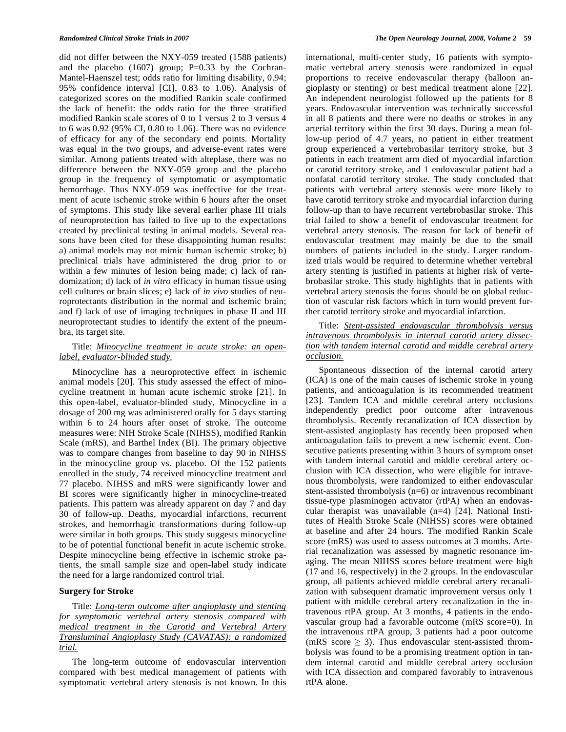did not differ between the NXY-059 treated (1588 patients) and the placebo  $(1607)$  group; P=0.33 by the Cochran-Mantel-Haenszel test; odds ratio for limiting disability, 0.94; 95% confidence interval [CI], 0.83 to 1.06). Analysis of categorized scores on the modified Rankin scale confirmed the lack of benefit: the odds ratio for the three stratified modified Rankin scale scores of 0 to 1 versus 2 to 3 versus 4 to 6 was 0.92 (95% CI, 0.80 to 1.06). There was no evidence of efficacy for any of the secondary end points. Mortality was equal in the two groups, and adverse-event rates were similar. Among patients treated with alteplase, there was no difference between the NXY-059 group and the placebo group in the frequency of symptomatic or asymptomatic hemorrhage. Thus NXY-059 was ineffective for the treatment of acute ischemic stroke within 6 hours after the onset of symptoms. This study like several earlier phase III trials of neuroprotection has failed to live up to the expectations created by preclinical testing in animal models. Several reasons have been cited for these disappointing human results: a) animal models may not mimic human ischemic stroke; b) preclinical trials have administered the drug prior to or within a few minutes of lesion being made; c) lack of randomization; d) lack of *in vitro* efficacy in human tissue using cell cultures or brain slices; e) lack of *in vivo* studies of neuroprotectants distribution in the normal and ischemic brain; and f) lack of use of imaging techniques in phase II and III neuroprotectant studies to identify the extent of the pneumbra, its target site.

## Title: *Minocycline treatment in acute stroke: an openlabel, evaluator-blinded study.*

 Minocycline has a neuroprotective effect in ischemic animal models [20]. This study assessed the effect of minocycline treatment in human acute ischemic stroke [21]. In this open-label, evaluator-blinded study, Minocycline in a dosage of 200 mg was administered orally for 5 days starting within 6 to 24 hours after onset of stroke. The outcome measures were: NIH Stroke Scale (NIHSS), modified Rankin Scale (mRS), and Barthel Index (BI). The primary objective was to compare changes from baseline to day 90 in NIHSS in the minocycline group vs. placebo. Of the 152 patients enrolled in the study, 74 received minocycline treatment and 77 placebo. NIHSS and mRS were significantly lower and BI scores were significantly higher in minocycline-treated patients. This pattern was already apparent on day 7 and day 30 of follow-up. Deaths, myocardial infarctions, recurrent strokes, and hemorrhagic transformations during follow-up were similar in both groups. This study suggests minocycline to be of potential functional benefit in acute ischemic stroke. Despite minocycline being effective in ischemic stroke patients, the small sample size and open-label study indicate the need for a large randomized control trial.

## **Surgery for Stroke**

 Title: *Long-term outcome after angioplasty and stenting for symptomatic vertebral artery stenosis compared with medical treatment in the Carotid and Vertebral Artery Transluminal Angioplasty Study (CAVATAS): a randomized trial.*

 The long-term outcome of endovascular intervention compared with best medical management of patients with symptomatic vertebral artery stenosis is not known. In this international, multi-center study, 16 patients with symptomatic vertebral artery stenosis were randomized in equal proportions to receive endovascular therapy (balloon angioplasty or stenting) or best medical treatment alone [22]. An independent neurologist followed up the patients for 8 years. Endovascular intervention was technically successful in all 8 patients and there were no deaths or strokes in any arterial territory within the first 30 days. During a mean follow-up period of 4.7 years, no patient in either treatment group experienced a vertebrobasilar territory stroke, but 3 patients in each treatment arm died of myocardial infarction or carotid territory stroke, and 1 endovascular patient had a nonfatal carotid territory stroke. The study concluded that patients with vertebral artery stenosis were more likely to have carotid territory stroke and myocardial infarction during follow-up than to have recurrent vertebrobasilar stroke. This trial failed to show a benefit of endovascular treatment for vertebral artery stenosis. The reason for lack of benefit of endovascular treatment may mainly be due to the small numbers of patients included in the study. Larger randomized trials would be required to determine whether vertebral artery stenting is justified in patients at higher risk of vertebrobasilar stroke. This study highlights that in patients with vertebral artery stenosis the focus should be on global reduction of vascular risk factors which in turn would prevent further carotid territory stroke and myocardial infarction.

# Title: *Stent-assisted endovascular thrombolysis versus intravenous thrombolysis in internal carotid artery dissection with tandem internal carotid and middle cerebral artery occlusion.*

 Spontaneous dissection of the internal carotid artery (ICA) is one of the main causes of ischemic stroke in young patients, and anticoagulation is its recommended treatment [23]. Tandem ICA and middle cerebral artery occlusions independently predict poor outcome after intravenous thrombolysis. Recently recanalization of ICA dissection by stent-assisted angioplasty has recently been proposed when anticoagulation fails to prevent a new ischemic event. Consecutive patients presenting within 3 hours of symptom onset with tandem internal carotid and middle cerebral artery occlusion with ICA dissection, who were eligible for intravenous thrombolysis, were randomized to either endovascular stent-assisted thrombolysis (n=6) or intravenous recombinant tissue-type plasminogen activator (rtPA) when an endovascular therapist was unavailable (n=4) [24]. National Institutes of Health Stroke Scale (NIHSS) scores were obtained at baseline and after 24 hours. The modified Rankin Scale score (mRS) was used to assess outcomes at 3 months. Arterial recanalization was assessed by magnetic resonance imaging. The mean NIHSS scores before treatment were high (17 and 16, respectively) in the 2 groups. In the endovascular group, all patients achieved middle cerebral artery recanalization with subsequent dramatic improvement versus only 1 patient with middle cerebral artery recanalization in the intravenous rtPA group. At 3 months, 4 patients in the endovascular group had a favorable outcome (mRS score=0). In the intravenous rtPA group, 3 patients had a poor outcome (mRS score  $\geq$  3). Thus endovascular stent-assisted thrombolysis was found to be a promising treatment option in tandem internal carotid and middle cerebral artery occlusion with ICA dissection and compared favorably to intravenous rtPA alone.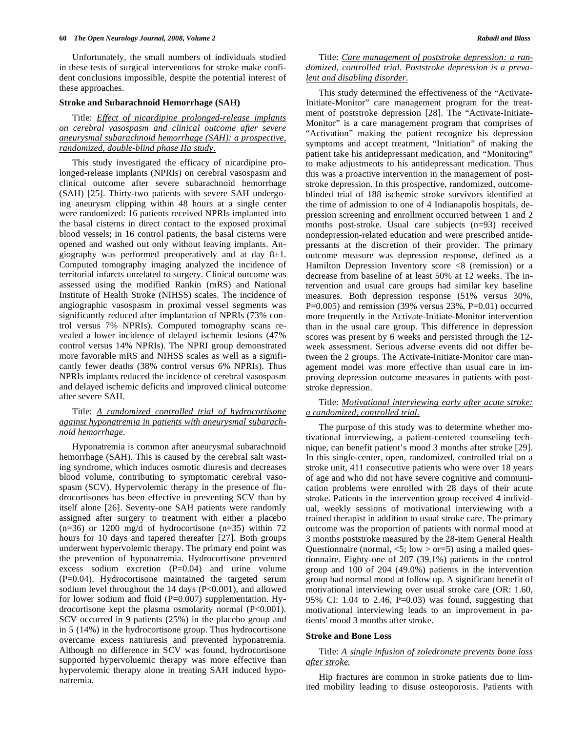Unfortunately, the small numbers of individuals studied in these tests of surgical interventions for stroke make confident conclusions impossible, despite the potential interest of these approaches.

#### **Stroke and Subarachnoid Hemorrhage (SAH)**

 Title: *Effect of nicardipine prolonged-release implants on cerebral vasospasm and clinical outcome after severe aneurysmal subarachnoid hemorrhage (SAH): a prospective, randomized, double-blind phase IIa study.* 

 This study investigated the efficacy of nicardipine prolonged-release implants (NPRIs) on cerebral vasospasm and clinical outcome after severe subarachnoid hemorrhage (SAH) [25]. Thirty-two patients with severe SAH undergoing aneurysm clipping within 48 hours at a single center were randomized: 16 patients received NPRIs implanted into the basal cisterns in direct contact to the exposed proximal blood vessels; in 16 control patients, the basal cisterns were opened and washed out only without leaving implants. Angiography was performed preoperatively and at day  $8\pm1$ . Computed tomography imaging analyzed the incidence of territorial infarcts unrelated to surgery. Clinical outcome was assessed using the modified Rankin (mRS) and National Institute of Health Stroke (NIHSS) scales. The incidence of angiographic vasospasm in proximal vessel segments was significantly reduced after implantation of NPRIs (73% control versus 7% NPRIs). Computed tomography scans revealed a lower incidence of delayed ischemic lesions (47% control versus 14% NPRIs). The NPRI group demonstrated more favorable mRS and NIHSS scales as well as a significantly fewer deaths (38% control versus 6% NPRIs). Thus NPRIs implants reduced the incidence of cerebral vasospasm and delayed ischemic deficits and improved clinical outcome after severe SAH.

## Title: *A randomized controlled trial of hydrocortisone against hyponatremia in patients with aneurysmal subarachnoid hemorrhage.*

 Hyponatremia is common after aneurysmal subarachnoid hemorrhage (SAH). This is caused by the cerebral salt wasting syndrome, which induces osmotic diuresis and decreases blood volume, contributing to symptomatic cerebral vasospasm (SCV). Hypervolemic therapy in the presence of fludrocortisones has been effective in preventing SCV than by itself alone [26]. Seventy-one SAH patients were randomly assigned after surgery to treatment with either a placebo  $(n=36)$  or 1200 mg/d of hydrocortisone  $(n=35)$  within 72 hours for 10 days and tapered thereafter [27]. Both groups underwent hypervolemic therapy. The primary end point was the prevention of hyponatremia. Hydrocortisone prevented excess sodium excretion (P=0.04) and urine volume (P=0.04). Hydrocortisone maintained the targeted serum sodium level throughout the 14 days (P<0.001), and allowed for lower sodium and fluid (P=0.007) supplementation. Hydrocortisone kept the plasma osmolarity normal (P<0.001). SCV occurred in 9 patients (25%) in the placebo group and in 5 (14%) in the hydrocortisone group. Thus hydrocortisone overcame excess natriuresis and prevented hyponatremia. Although no difference in SCV was found, hydrocortisone supported hypervoluemic therapy was more effective than hypervolemic therapy alone in treating SAH induced hyponatremia.

# Title: *Care management of poststroke depression: a randomized, controlled trial. Poststroke depression is a prevalent and disabling disorder.*

 This study determined the effectiveness of the "Activate-Initiate-Monitor" care management program for the treatment of poststroke depression [28]. The "Activate-Initiate-Monitor" is a care management program that comprises of "Activation" making the patient recognize his depression symptoms and accept treatment, "Initiation" of making the patient take his antidepressant medication, and "Monitoring" to make adjustments to his antidepressant medication. Thus this was a proactive intervention in the management of poststroke depression. In this prospective, randomized, outcomeblinded trial of 188 ischemic stroke survivors identified at the time of admission to one of 4 Indianapolis hospitals, depression screening and enrollment occurred between 1 and 2 months post-stroke. Usual care subjects (n=93) received nondepression-related education and were prescribed antidepressants at the discretion of their provider. The primary outcome measure was depression response, defined as a Hamilton Depression Inventory score <8 (remission) or a decrease from baseline of at least 50% at 12 weeks. The intervention and usual care groups had similar key baseline measures. Both depression response (51% versus 30%, P=0.005) and remission (39% versus  $23%$ , P=0.01) occurred more frequently in the Activate-Initiate-Monitor intervention than in the usual care group. This difference in depression scores was present by 6 weeks and persisted through the 12 week assessment. Serious adverse events did not differ between the 2 groups. The Activate-Initiate-Monitor care management model was more effective than usual care in improving depression outcome measures in patients with poststroke depression.

## Title: *Motivational interviewing early after acute stroke: a randomized, controlled trial.*

 The purpose of this study was to determine whether motivational interviewing, a patient-centered counseling technique, can benefit patient's mood 3 months after stroke [29]. In this single-center, open, randomized, controlled trial on a stroke unit, 411 consecutive patients who were over 18 years of age and who did not have severe cognitive and communication problems were enrolled with 28 days of their acute stroke. Patients in the intervention group received 4 individual, weekly sessions of motivational interviewing with a trained therapist in addition to usual stroke care. The primary outcome was the proportion of patients with normal mood at 3 months poststroke measured by the 28-item General Health Questionnaire (normal,  $\langle 5;$  low  $>$  or=5) using a mailed questionnaire. Eighty-one of 207 (39.1%) patients in the control group and 100 of 204 (49.0%) patients in the intervention group had normal mood at follow up. A significant benefit of motivational interviewing over usual stroke care (OR: 1.60, 95% CI: 1.04 to 2.46, P=0.03) was found, suggesting that motivational interviewing leads to an improvement in patients' mood 3 months after stroke.

#### **Stroke and Bone Loss**

# Title: *A single infusion of zoledronate prevents bone loss after stroke.*

 Hip fractures are common in stroke patients due to limited mobility leading to disuse osteoporosis. Patients with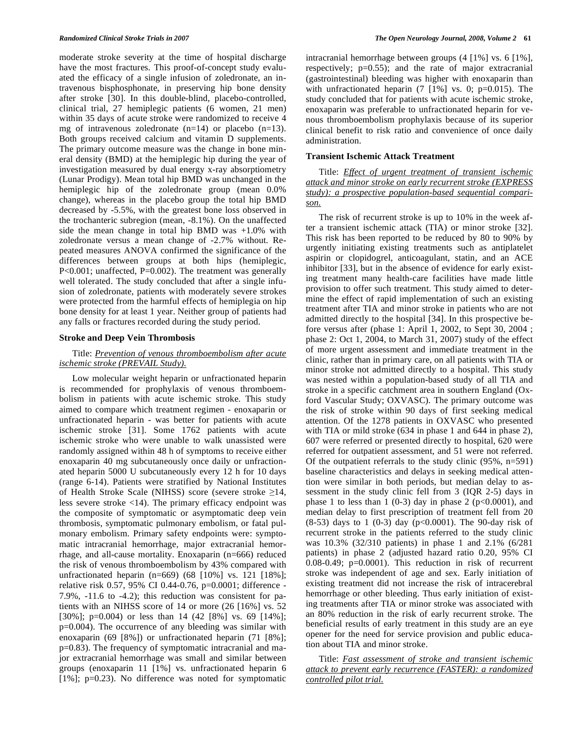moderate stroke severity at the time of hospital discharge have the most fractures. This proof-of-concept study evaluated the efficacy of a single infusion of zoledronate, an intravenous bisphosphonate, in preserving hip bone density after stroke [30]. In this double-blind, placebo-controlled, clinical trial, 27 hemiplegic patients (6 women, 21 men) within 35 days of acute stroke were randomized to receive 4 mg of intravenous zoledronate  $(n=14)$  or placebo  $(n=13)$ . Both groups received calcium and vitamin D supplements. The primary outcome measure was the change in bone mineral density (BMD) at the hemiplegic hip during the year of investigation measured by dual energy x-ray absorptiometry (Lunar Prodigy). Mean total hip BMD was unchanged in the hemiplegic hip of the zoledronate group (mean 0.0% change), whereas in the placebo group the total hip BMD decreased by -5.5%, with the greatest bone loss observed in the trochanteric subregion (mean, -8.1%). On the unaffected side the mean change in total hip BMD was +1.0% with zoledronate versus a mean change of -2.7% without. Repeated measures ANOVA confirmed the significance of the differences between groups at both hips (hemiplegic, P<0.001; unaffected, P=0.002). The treatment was generally well tolerated. The study concluded that after a single infusion of zoledronate, patients with moderately severe strokes were protected from the harmful effects of hemiplegia on hip bone density for at least 1 year. Neither group of patients had any falls or fractures recorded during the study period.

#### **Stroke and Deep Vein Thrombosis**

## Title: *Prevention of venous thromboembolism after acute ischemic stroke (PREVAIL Study).*

 Low molecular weight heparin or unfractionated heparin is recommended for prophylaxis of venous thromboembolism in patients with acute ischemic stroke. This study aimed to compare which treatment regimen - enoxaparin or unfractionated heparin - was better for patients with acute ischemic stroke [31]. Some 1762 patients with acute ischemic stroke who were unable to walk unassisted were randomly assigned within 48 h of symptoms to receive either enoxaparin 40 mg subcutaneously once daily or unfractionated heparin 5000 U subcutaneously every 12 h for 10 days (range 6-14). Patients were stratified by National Institutes of Health Stroke Scale (NIHSS) score (severe stroke  $\geq$ 14, less severe stroke <14). The primary efficacy endpoint was the composite of symptomatic or asymptomatic deep vein thrombosis, symptomatic pulmonary embolism, or fatal pulmonary embolism. Primary safety endpoints were: symptomatic intracranial hemorrhage, major extracranial hemorrhage, and all-cause mortality. Enoxaparin (n=666) reduced the risk of venous thromboembolism by 43% compared with unfractionated heparin (n=669) (68 [10%] vs. 121 [18%]; relative risk 0.57, 95% CI 0.44-0.76, p=0.0001; difference - 7.9%, -11.6 to -4.2); this reduction was consistent for patients with an NIHSS score of 14 or more (26 [16%] vs. 52 [30%]; p=0.004) or less than 14 (42 [8%] vs. 69 [14%]; p=0.004). The occurrence of any bleeding was similar with enoxaparin (69 [8%]) or unfractionated heparin (71 [8%]; p=0.83). The frequency of symptomatic intracranial and major extracranial hemorrhage was small and similar between groups (enoxaparin 11 [1%] vs. unfractionated heparin 6 [1%]; p=0.23). No difference was noted for symptomatic

intracranial hemorrhage between groups (4 [1%] vs. 6 [1%], respectively; p=0.55); and the rate of major extracranial (gastrointestinal) bleeding was higher with enoxaparin than with unfractionated heparin  $(7 \t{1\%} \t{vs. 0; p=0.015})$ . The study concluded that for patients with acute ischemic stroke, enoxaparin was preferable to unfractionated heparin for venous thromboembolism prophylaxis because of its superior clinical benefit to risk ratio and convenience of once daily administration.

## **Transient Ischemic Attack Treatment**

 Title: *Effect of urgent treatment of transient ischemic attack and minor stroke on early recurrent stroke (EXPRESS study): a prospective population-based sequential comparison.* 

 The risk of recurrent stroke is up to 10% in the week after a transient ischemic attack (TIA) or minor stroke [32]. This risk has been reported to be reduced by 80 to 90% by urgently initiating existing treatments such as antiplatelet aspirin or clopidogrel, anticoagulant, statin, and an ACE inhibitor [33], but in the absence of evidence for early existing treatment many health-care facilities have made little provision to offer such treatment. This study aimed to determine the effect of rapid implementation of such an existing treatment after TIA and minor stroke in patients who are not admitted directly to the hospital [34]. In this prospective before versus after (phase 1: April 1, 2002, to Sept 30, 2004 ; phase 2: Oct 1, 2004, to March 31, 2007) study of the effect of more urgent assessment and immediate treatment in the clinic, rather than in primary care, on all patients with TIA or minor stroke not admitted directly to a hospital. This study was nested within a population-based study of all TIA and stroke in a specific catchment area in southern England (Oxford Vascular Study; OXVASC). The primary outcome was the risk of stroke within 90 days of first seeking medical attention. Of the 1278 patients in OXVASC who presented with TIA or mild stroke (634 in phase 1 and 644 in phase 2), 607 were referred or presented directly to hospital, 620 were referred for outpatient assessment, and 51 were not referred. Of the outpatient referrals to the study clinic (95%, n=591) baseline characteristics and delays in seeking medical attention were similar in both periods, but median delay to assessment in the study clinic fell from 3 (IQR 2-5) days in phase 1 to less than 1 (0-3) day in phase 2 ( $p<0.0001$ ), and median delay to first prescription of treatment fell from 20 (8-53) days to 1 (0-3) day (p<0.0001). The 90-day risk of recurrent stroke in the patients referred to the study clinic was 10.3% (32/310 patients) in phase 1 and 2.1% (6/281 patients) in phase 2 (adjusted hazard ratio 0.20, 95% CI  $0.08-0.49$ ;  $p=0.0001$ ). This reduction in risk of recurrent stroke was independent of age and sex. Early initiation of existing treatment did not increase the risk of intracerebral hemorrhage or other bleeding. Thus early initiation of existing treatments after TIA or minor stroke was associated with an 80% reduction in the risk of early recurrent stroke. The beneficial results of early treatment in this study are an eye opener for the need for service provision and public education about TIA and minor stroke.

 Title: *Fast assessment of stroke and transient ischemic attack to prevent early recurrence (FASTER): a randomized controlled pilot trial.*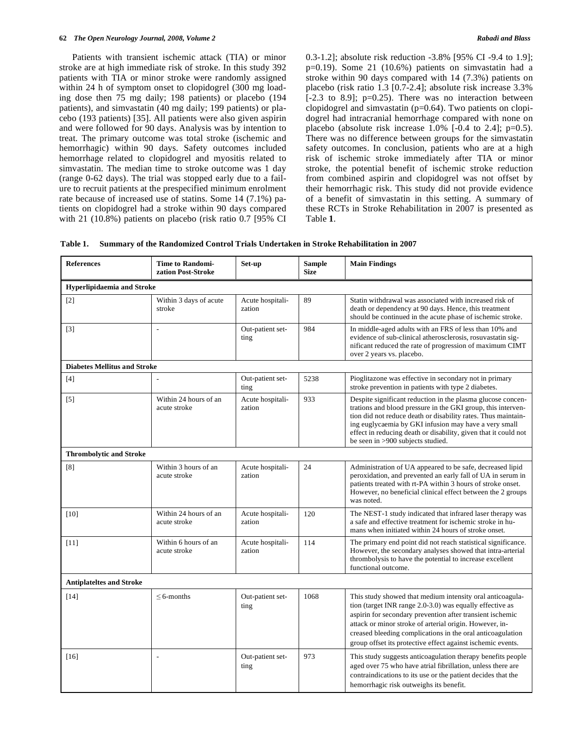#### **62** *The Open Neurology Journal, 2008, Volume 2 Rabadi and Blass*

 Patients with transient ischemic attack (TIA) or minor stroke are at high immediate risk of stroke. In this study 392 patients with TIA or minor stroke were randomly assigned within 24 h of symptom onset to clopidogrel (300 mg loading dose then 75 mg daily; 198 patients) or placebo (194 patients), and simvastatin (40 mg daily; 199 patients) or placebo (193 patients) [35]. All patients were also given aspirin and were followed for 90 days. Analysis was by intention to treat. The primary outcome was total stroke (ischemic and hemorrhagic) within 90 days. Safety outcomes included hemorrhage related to clopidogrel and myositis related to simvastatin. The median time to stroke outcome was 1 day (range 0-62 days). The trial was stopped early due to a failure to recruit patients at the prespecified minimum enrolment rate because of increased use of statins. Some 14 (7.1%) patients on clopidogrel had a stroke within 90 days compared with 21 (10.8%) patients on placebo (risk ratio 0.7 [95% CI 0.3-1.2]; absolute risk reduction -3.8% [95% CI -9.4 to 1.9]; p=0.19). Some 21 (10.6%) patients on simvastatin had a stroke within 90 days compared with 14 (7.3%) patients on placebo (risk ratio 1.3 [0.7-2.4]; absolute risk increase 3.3%  $[-2.3$  to 8.9];  $p=0.25$ ). There was no interaction between clopidogrel and simvastatin (p=0.64). Two patients on clopidogrel had intracranial hemorrhage compared with none on placebo (absolute risk increase  $1.0\%$  [-0.4 to 2.4]; p=0.5). There was no difference between groups for the simvastatin safety outcomes. In conclusion, patients who are at a high risk of ischemic stroke immediately after TIA or minor stroke, the potential benefit of ischemic stroke reduction from combined aspirin and clopidogrel was not offset by their hemorrhagic risk. This study did not provide evidence of a benefit of simvastatin in this setting. A summary of these RCTs in Stroke Rehabilitation in 2007 is presented as Table **1**.

**Table 1. Summary of the Randomized Control Trials Undertaken in Stroke Rehabilitation in 2007** 

| <b>References</b>                   | <b>Time to Randomi-</b><br>zation Post-Stroke | Set-up                     | Sample<br><b>Size</b> | <b>Main Findings</b>                                                                                                                                                                                                                                                                                                                                                       |  |  |  |
|-------------------------------------|-----------------------------------------------|----------------------------|-----------------------|----------------------------------------------------------------------------------------------------------------------------------------------------------------------------------------------------------------------------------------------------------------------------------------------------------------------------------------------------------------------------|--|--|--|
| <b>Hyperlipidaemia and Stroke</b>   |                                               |                            |                       |                                                                                                                                                                                                                                                                                                                                                                            |  |  |  |
| $[2]$                               | Within 3 days of acute<br>stroke              | Acute hospitali-<br>zation | 89                    | Statin withdrawal was associated with increased risk of<br>death or dependency at 90 days. Hence, this treatment<br>should be continued in the acute phase of ischemic stroke.                                                                                                                                                                                             |  |  |  |
| $[3]$                               | ÷,                                            | Out-patient set-<br>ting   | 984                   | In middle-aged adults with an FRS of less than 10% and<br>evidence of sub-clinical atherosclerosis, rosuvastatin sig-<br>nificant reduced the rate of progression of maximum CIMT<br>over 2 years vs. placebo.                                                                                                                                                             |  |  |  |
| <b>Diabetes Mellitus and Stroke</b> |                                               |                            |                       |                                                                                                                                                                                                                                                                                                                                                                            |  |  |  |
| [4]                                 |                                               | Out-patient set-<br>ting   | 5238                  | Pioglitazone was effective in secondary not in primary<br>stroke prevention in patients with type 2 diabetes.                                                                                                                                                                                                                                                              |  |  |  |
| $[5]$                               | Within 24 hours of an<br>acute stroke         | Acute hospitali-<br>zation | 933                   | Despite significant reduction in the plasma glucose concen-<br>trations and blood pressure in the GKI group, this interven-<br>tion did not reduce death or disability rates. Thus maintain-<br>ing euglycaemia by GKI infusion may have a very small<br>effect in reducing death or disability, given that it could not<br>be seen in >900 subjects studied.              |  |  |  |
| <b>Thrombolytic and Stroke</b>      |                                               |                            |                       |                                                                                                                                                                                                                                                                                                                                                                            |  |  |  |
| [8]                                 | Within 3 hours of an<br>acute stroke          | Acute hospitali-<br>zation | 24                    | Administration of UA appeared to be safe, decreased lipid<br>peroxidation, and prevented an early fall of UA in serum in<br>patients treated with rt-PA within 3 hours of stroke onset.<br>However, no beneficial clinical effect between the 2 groups<br>was noted.                                                                                                       |  |  |  |
| $[10]$                              | Within 24 hours of an<br>acute stroke         | Acute hospitali-<br>zation | 120                   | The NEST-1 study indicated that infrared laser therapy was<br>a safe and effective treatment for ischemic stroke in hu-<br>mans when initiated within 24 hours of stroke onset.                                                                                                                                                                                            |  |  |  |
| $[11]$                              | Within 6 hours of an<br>acute stroke          | Acute hospitali-<br>zation | 114                   | The primary end point did not reach statistical significance.<br>However, the secondary analyses showed that intra-arterial<br>thrombolysis to have the potential to increase excellent<br>functional outcome.                                                                                                                                                             |  |  |  |
| <b>Antiplateltes and Stroke</b>     |                                               |                            |                       |                                                                                                                                                                                                                                                                                                                                                                            |  |  |  |
| $[14]$                              | $\leq$ 6-months                               | Out-patient set-<br>ting   | 1068                  | This study showed that medium intensity oral anticoagula-<br>tion (target INR range 2.0-3.0) was equally effective as<br>aspirin for secondary prevention after transient ischemic<br>attack or minor stroke of arterial origin. However, in-<br>creased bleeding complications in the oral anticoagulation<br>group offset its protective effect against ischemic events. |  |  |  |
| $[16]$                              |                                               | Out-patient set-<br>ting   | 973                   | This study suggests anticoagulation therapy benefits people<br>aged over 75 who have atrial fibrillation, unless there are<br>contraindications to its use or the patient decides that the<br>hemorrhagic risk outweighs its benefit.                                                                                                                                      |  |  |  |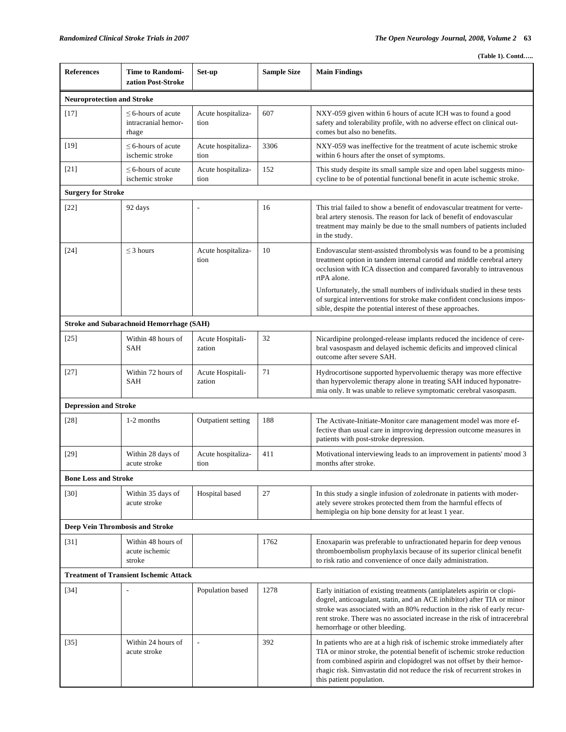|  | $(Table 1)$ . Contd |
|--|---------------------|
|  |                     |

| <b>References</b>                             | <b>Time to Randomi-</b><br>zation Post-Stroke           | $Set-up$                   | <b>Sample Size</b> | <b>Main Findings</b>                                                                                                                                                                                                                                                                                                                          |  |  |  |
|-----------------------------------------------|---------------------------------------------------------|----------------------------|--------------------|-----------------------------------------------------------------------------------------------------------------------------------------------------------------------------------------------------------------------------------------------------------------------------------------------------------------------------------------------|--|--|--|
| <b>Neuroprotection and Stroke</b>             |                                                         |                            |                    |                                                                                                                                                                                                                                                                                                                                               |  |  |  |
| $[17]$                                        | $\leq$ 6-hours of acute<br>intracranial hemor-<br>rhage | Acute hospitaliza-<br>tion | 607                | NXY-059 given within 6 hours of acute ICH was to found a good<br>safety and tolerability profile, with no adverse effect on clinical out-<br>comes but also no benefits.                                                                                                                                                                      |  |  |  |
| $[19]$                                        | $\leq$ 6-hours of acute<br>ischemic stroke              | Acute hospitaliza-<br>tion | 3306               | NXY-059 was ineffective for the treatment of acute ischemic stroke<br>within 6 hours after the onset of symptoms.                                                                                                                                                                                                                             |  |  |  |
| $[21]$                                        | $\leq$ 6-hours of acute<br>ischemic stroke              | Acute hospitaliza-<br>tion | 152                | This study despite its small sample size and open label suggests mino-<br>cycline to be of potential functional benefit in acute ischemic stroke.                                                                                                                                                                                             |  |  |  |
| <b>Surgery for Stroke</b>                     |                                                         |                            |                    |                                                                                                                                                                                                                                                                                                                                               |  |  |  |
| $[22]$                                        | 92 days                                                 | Ĭ.                         | 16                 | This trial failed to show a benefit of endovascular treatment for verte-<br>bral artery stenosis. The reason for lack of benefit of endovascular<br>treatment may mainly be due to the small numbers of patients included<br>in the study.                                                                                                    |  |  |  |
| $[24]$                                        | $\leq$ 3 hours                                          | Acute hospitaliza-<br>tion | 10                 | Endovascular stent-assisted thrombolysis was found to be a promising<br>treatment option in tandem internal carotid and middle cerebral artery<br>occlusion with ICA dissection and compared favorably to intravenous<br>rtPA alone.                                                                                                          |  |  |  |
|                                               |                                                         |                            |                    | Unfortunately, the small numbers of individuals studied in these tests<br>of surgical interventions for stroke make confident conclusions impos-<br>sible, despite the potential interest of these approaches.                                                                                                                                |  |  |  |
|                                               | <b>Stroke and Subarachnoid Hemorrhage (SAH)</b>         |                            |                    |                                                                                                                                                                                                                                                                                                                                               |  |  |  |
| $[25]$                                        | Within 48 hours of<br>SAH                               | Acute Hospitali-<br>zation | 32                 | Nicardipine prolonged-release implants reduced the incidence of cere-<br>bral vasospasm and delayed ischemic deficits and improved clinical<br>outcome after severe SAH.                                                                                                                                                                      |  |  |  |
| $[27]$                                        | Within 72 hours of<br>SAH                               | Acute Hospitali-<br>zation | 71                 | Hydrocortisone supported hypervoluemic therapy was more effective<br>than hypervolemic therapy alone in treating SAH induced hyponatre-<br>mia only. It was unable to relieve symptomatic cerebral vasospasm.                                                                                                                                 |  |  |  |
| <b>Depression and Stroke</b>                  |                                                         |                            |                    |                                                                                                                                                                                                                                                                                                                                               |  |  |  |
| $[28]$                                        | 1-2 months                                              | Outpatient setting         | 188                | The Activate-Initiate-Monitor care management model was more ef-<br>fective than usual care in improving depression outcome measures in<br>patients with post-stroke depression.                                                                                                                                                              |  |  |  |
| $[29]$                                        | Within 28 days of<br>acute stroke                       | Acute hospitaliza-<br>tion | 411                | Motivational interviewing leads to an improvement in patients' mood 3<br>months after stroke.                                                                                                                                                                                                                                                 |  |  |  |
| <b>Bone Loss and Stroke</b>                   |                                                         |                            |                    |                                                                                                                                                                                                                                                                                                                                               |  |  |  |
| [30]                                          | Within 35 days of<br>acute stroke                       | Hospital based             | 27                 | In this study a single infusion of zoledronate in patients with moder-<br>ately severe strokes protected them from the harmful effects of<br>hemiplegia on hip bone density for at least 1 year.                                                                                                                                              |  |  |  |
| <b>Deep Vein Thrombosis and Stroke</b>        |                                                         |                            |                    |                                                                                                                                                                                                                                                                                                                                               |  |  |  |
| $[31]$                                        | Within 48 hours of<br>acute ischemic<br>stroke          |                            | 1762               | Enoxaparin was preferable to unfractionated heparin for deep venous<br>thromboembolism prophylaxis because of its superior clinical benefit<br>to risk ratio and convenience of once daily administration.                                                                                                                                    |  |  |  |
| <b>Treatment of Transient Ischemic Attack</b> |                                                         |                            |                    |                                                                                                                                                                                                                                                                                                                                               |  |  |  |
| $[34]$                                        | $\overline{a}$                                          | Population based           | 1278               | Early initiation of existing treatments (antiplatelets aspirin or clopi-<br>dogrel, anticoagulant, statin, and an ACE inhibitor) after TIA or minor<br>stroke was associated with an 80% reduction in the risk of early recur-<br>rent stroke. There was no associated increase in the risk of intracerebral<br>hemorrhage or other bleeding. |  |  |  |
| $[35]$                                        | Within 24 hours of<br>acute stroke                      | $\overline{\phantom{a}}$   | 392                | In patients who are at a high risk of ischemic stroke immediately after<br>TIA or minor stroke, the potential benefit of ischemic stroke reduction<br>from combined aspirin and clopidogrel was not offset by their hemor-<br>rhagic risk. Simvastatin did not reduce the risk of recurrent strokes in<br>this patient population.            |  |  |  |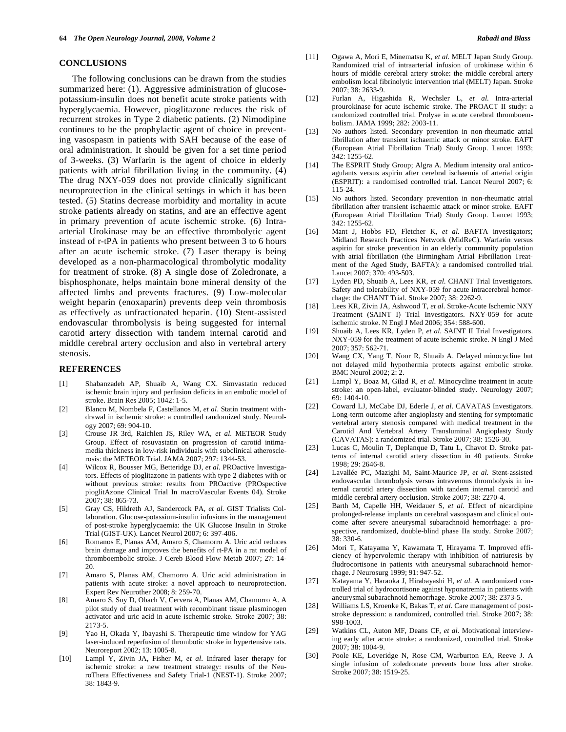#### **CONCLUSIONS**

 The following conclusions can be drawn from the studies summarized here: (1). Aggressive administration of glucosepotassium-insulin does not benefit acute stroke patients with hyperglycaemia. However, pioglitazone reduces the risk of recurrent strokes in Type 2 diabetic patients. (2) Nimodipine continues to be the prophylactic agent of choice in preventing vasospasm in patients with SAH because of the ease of oral administration. It should be given for a set time period of 3-weeks. (3) Warfarin is the agent of choice in elderly patients with atrial fibrillation living in the community. (4) The drug NXY-059 does not provide clinically significant neuroprotection in the clinical settings in which it has been tested. (5) Statins decrease morbidity and mortality in acute stroke patients already on statins, and are an effective agent in primary prevention of acute ischemic stroke. (6) Intraarterial Urokinase may be an effective thrombolytic agent instead of r-tPA in patients who present between 3 to 6 hours after an acute ischemic stroke. (7) Laser therapy is being developed as a non-pharmacological thrombolytic modality for treatment of stroke. (8) A single dose of Zoledronate, a bisphosphonate, helps maintain bone mineral density of the affected limbs and prevents fractures. (9) Low-molecular weight heparin (enoxaparin) prevents deep vein thrombosis as effectively as unfractionated heparin. (10) Stent-assisted endovascular thrombolysis is being suggested for internal carotid artery dissection with tandem internal carotid and middle cerebral artery occlusion and also in vertebral artery stenosis.

## **REFERENCES**

- [1] Shabanzadeh AP, Shuaib A, Wang CX. Simvastatin reduced ischemic brain injury and perfusion deficits in an embolic model of stroke. Brain Res 2005; 1042: 1-5.
- [2] Blanco M, Nombela F, Castellanos M, *et al*. Statin treatment withdrawal in ischemic stroke: a controlled randomized study. Neurology 2007; 69: 904-10.
- [3] Crouse JR 3rd, Raichlen JS, Riley WA, *et al*. METEOR Study Group. Effect of rosuvastatin on progression of carotid intimamedia thickness in low-risk individuals with subclinical atherosclerosis: the METEOR Trial. JAMA 2007; 297: 1344-53.
- [4] Wilcox R, Bousser MG, Betteridge DJ, *et al*. PROactive Investigators. Effects of pioglitazone in patients with type 2 diabetes with or without previous stroke: results from PROactive (PROspective pioglitAzone Clinical Trial In macroVascular Events 04). Stroke 2007; 38: 865-73.
- [5] Gray CS, Hildreth AJ, Sandercock PA, *et al*. GIST Trialists Collaboration. Glucose-potassium-insulin infusions in the management of post-stroke hyperglycaemia: the UK Glucose Insulin in Stroke Trial (GIST-UK). Lancet Neurol 2007; 6: 397-406.
- [6] Romanos E, Planas AM, Amaro S, Chamorro A. Uric acid reduces brain damage and improves the benefits of rt-PA in a rat model of thromboembolic stroke. J Cereb Blood Flow Metab 2007; 27: 14- 20.
- [7] Amaro S, Planas AM, Chamorro A. Uric acid administration in patients with acute stroke: a novel approach to neuroprotection. Expert Rev Neurother 2008; 8: 259-70.
- [8] Amaro S, Soy D, Obach V, Cervera A, Planas AM, Chamorro A. A pilot study of dual treatment with recombinant tissue plasminogen activator and uric acid in acute ischemic stroke. Stroke 2007; 38: 2173-5.
- [9] Yao H, Okada Y, Ibayashi S. Therapeutic time window for YAG laser-induced reperfusion of thrombotic stroke in hypertensive rats. Neuroreport 2002; 13: 1005-8.
- [10] Lampl Y, Zivin JA, Fisher M, *et al*. Infrared laser therapy for ischemic stroke: a new treatment strategy: results of the NeuroThera Effectiveness and Safety Trial-1 (NEST-1). Stroke 2007; 38: 1843-9.
- [11] Ogawa A, Mori E, Minematsu K, *et al*. MELT Japan Study Group. Randomized trial of intraarterial infusion of urokinase within 6 hours of middle cerebral artery stroke: the middle cerebral artery embolism local fibrinolytic intervention trial (MELT) Japan. Stroke 2007; 38: 2633-9.
- [12] Furlan A, Higashida R, Wechsler L, *et al*. Intra-arterial prourokinase for acute ischemic stroke. The PROACT II study: a randomized controlled trial. Prolyse in acute cerebral thromboembolism. JAMA 1999; 282: 2003-11.
- [13] No authors listed. Secondary prevention in non-rheumatic atrial fibrillation after transient ischaemic attack or minor stroke. EAFT (European Atrial Fibrillation Trial) Study Group. Lancet 1993; 342: 1255-62.
- [14] The ESPRIT Study Group; Algra A. Medium intensity oral anticoagulants versus aspirin after cerebral ischaemia of arterial origin (ESPRIT): a randomised controlled trial. Lancet Neurol 2007; 6: 115-24.
- [15] No authors listed. Secondary prevention in non-rheumatic atrial fibrillation after transient ischaemic attack or minor stroke. EAFT (European Atrial Fibrillation Trial) Study Group. Lancet 1993; 342: 1255-62.
- [16] Mant J, Hobbs FD, Fletcher K, *et al*. BAFTA investigators; Midland Research Practices Network (MidReC). Warfarin versus aspirin for stroke prevention in an elderly community population with atrial fibrillation (the Birmingham Atrial Fibrillation Treatment of the Aged Study, BAFTA): a randomised controlled trial. Lancet 2007; 370: 493-503.
- [17] Lyden PD, Shuaib A, Lees KR, *et al*. CHANT Trial Investigators. Safety and tolerability of NXY-059 for acute intracerebral hemorrhage: the CHANT Trial. Stroke 2007; 38: 2262-9.
- [18] Lees KR, Zivin JA, Ashwood T, *et al*. Stroke-Acute Ischemic NXY Treatment (SAINT I) Trial Investigators. NXY-059 for acute ischemic stroke. N Engl J Med 2006; 354: 588-600.
- [19] Shuaib A, Lees KR, Lyden P, *et al*. SAINT II Trial Investigators. NXY-059 for the treatment of acute ischemic stroke. N Engl J Med 2007; 357: 562-71.
- [20] Wang CX, Yang T, Noor R, Shuaib A. Delayed minocycline but not delayed mild hypothermia protects against embolic stroke. BMC Neurol 2002; 2: 2.
- [21] Lampl Y, Boaz M, Gilad R, *et al*. Minocycline treatment in acute stroke: an open-label, evaluator-blinded study. Neurology 2007; 69: 1404-10.
- [22] Coward LJ, McCabe DJ, Ederle J, *et al*. CAVATAS Investigators. Long-term outcome after angioplasty and stenting for symptomatic vertebral artery stenosis compared with medical treatment in the Carotid And Vertebral Artery Transluminal Angioplasty Study (CAVATAS): a randomized trial. Stroke 2007; 38: 1526-30.
- [23] Lucas C, Moulin T, Deplanque D, Tatu L, Chavot D. Stroke patterns of internal carotid artery dissection in 40 patients. Stroke 1998; 29: 2646-8.
- [24] Lavallée PC, Mazighi M, Saint-Maurice JP, *et al*. Stent-assisted endovascular thrombolysis versus intravenous thrombolysis in internal carotid artery dissection with tandem internal carotid and middle cerebral artery occlusion. Stroke 2007; 38: 2270-4.
- [25] Barth M, Capelle HH, Weidauer S, *et al*. Effect of nicardipine prolonged-release implants on cerebral vasospasm and clinical outcome after severe aneurysmal subarachnoid hemorrhage: a prospective, randomized, double-blind phase IIa study. Stroke 2007; 38: 330-6.
- [26] Mori T, Katayama Y, Kawamata T, Hirayama T. Improved efficiency of hypervolemic therapy with inhibition of natriuresis by fludrocortisone in patients with aneurysmal subarachnoid hemorrhage. J Neurosurg 1999; 91: 947-52.
- [27] Katayama Y, Haraoka J, Hirabayashi H, *et al*. A randomized controlled trial of hydrocortisone against hyponatremia in patients with aneurysmal subarachnoid hemorrhage. Stroke 2007; 38: 2373-5.
- [28] Williams LS, Kroenke K, Bakas T, *et al*. Care management of poststroke depression: a randomized, controlled trial. Stroke 2007; 38: 998-1003.
- [29] Watkins CL, Auton MF, Deans CF, *et al*. Motivational interviewing early after acute stroke: a randomized, controlled trial. Stroke 2007; 38: 1004-9.
- [30] Poole KE, Loveridge N, Rose CM, Warburton EA, Reeve J. A single infusion of zoledronate prevents bone loss after stroke. Stroke 2007; 38: 1519-25.